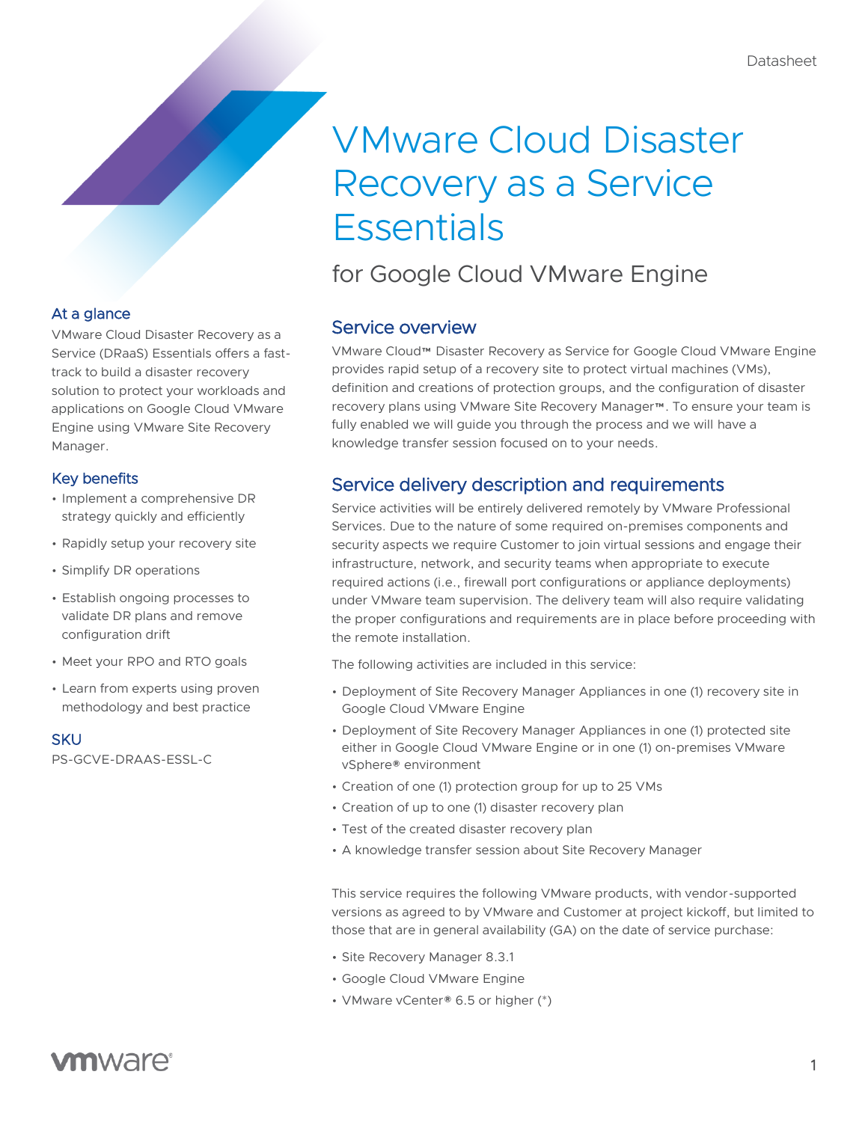# VMware Cloud Disaster Recovery as a Service **Essentials**

# for Google Cloud VMware Engine

# Service overview

VMware Cloud™ Disaster Recovery as Service for Google Cloud VMware Engine provides rapid setup of a recovery site to protect virtual machines (VMs), definition and creations of protection groups, and the configuration of disaster recovery plans using VMware Site Recovery Manager™. To ensure your team is fully enabled we will guide you through the process and we will have a knowledge transfer session focused on to your needs.

# Service delivery description and requirements

Service activities will be entirely delivered remotely by VMware Professional Services. Due to the nature of some required on-premises components and security aspects we require Customer to join virtual sessions and engage their infrastructure, network, and security teams when appropriate to execute required actions (i.e., firewall port configurations or appliance deployments) under VMware team supervision. The delivery team will also require validating the proper configurations and requirements are in place before proceeding with the remote installation.

The following activities are included in this service:

- Deployment of Site Recovery Manager Appliances in one (1) recovery site in Google Cloud VMware Engine
- Deployment of Site Recovery Manager Appliances in one (1) protected site either in Google Cloud VMware Engine or in one (1) on-premises VMware vSphere® environment
- Creation of one (1) protection group for up to 25 VMs
- Creation of up to one (1) disaster recovery plan
- Test of the created disaster recovery plan
- A knowledge transfer session about Site Recovery Manager

This service requires the following VMware products, with vendor-supported versions as agreed to by VMware and Customer at project kickoff, but limited to those that are in general availability (GA) on the date of service purchase:

- Site Recovery Manager 8.3.1
- Google Cloud VMware Engine
- VMware vCenter® 6.5 or higher (\*)

# At a glance

VMware Cloud Disaster Recovery as a Service (DRaaS) Essentials offers a fasttrack to build a disaster recovery solution to protect your workloads and applications on Google Cloud VMware Engine using VMware Site Recovery Manager.

# Key benefits

- Implement a comprehensive DR strategy quickly and efficiently
- Rapidly setup your recovery site
- Simplify DR operations
- Establish ongoing processes to validate DR plans and remove configuration drift
- Meet your RPO and RTO goals
- Learn from experts using proven methodology and best practice

### **SKU**

PS-GCVE-DRAAS-ESSL-C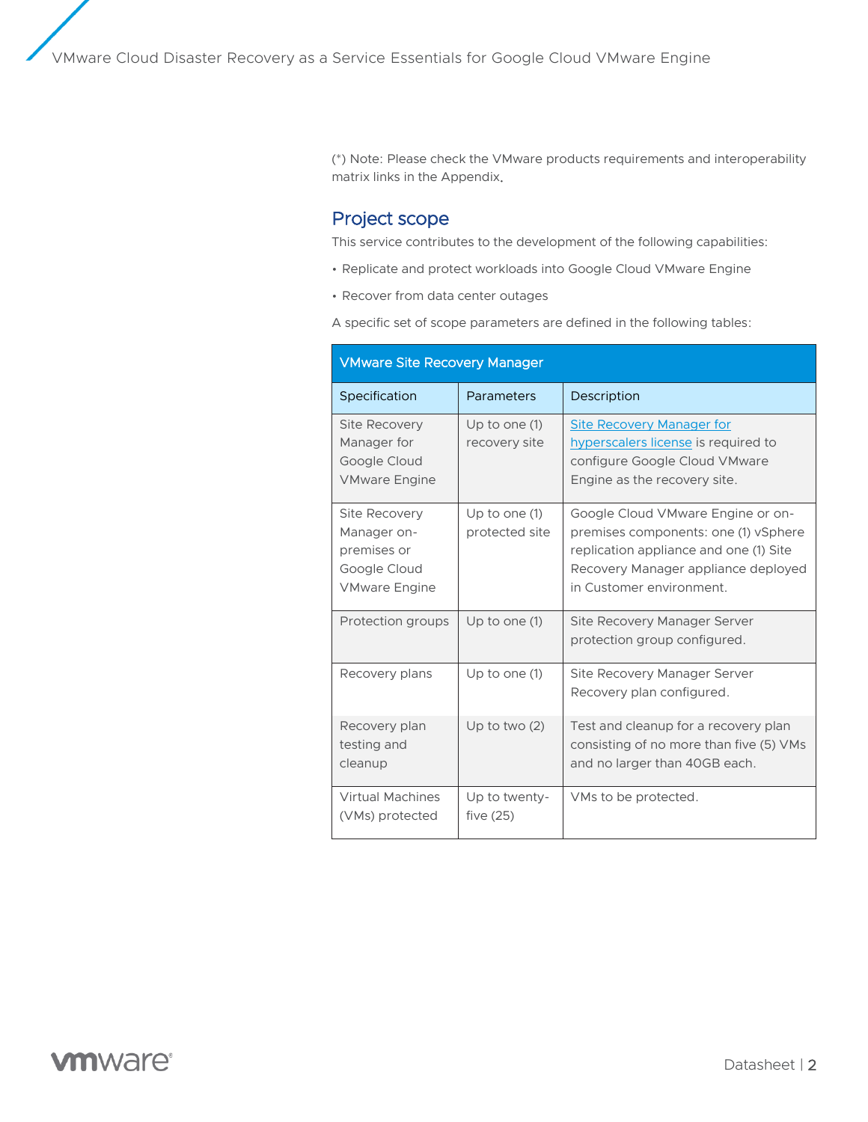(\*) Note: Please check the VMware products requirements and interoperability matrix links in the Appendix.

### Project scope

This service contributes to the development of the following capabilities:

- Replicate and protect workloads into Google Cloud VMware Engine
- Recover from data center outages

A specific set of scope parameters are defined in the following tables:

| <b>VMware Site Recovery Manager</b>                                                 |                                   |                                                                                                                                                                                        |
|-------------------------------------------------------------------------------------|-----------------------------------|----------------------------------------------------------------------------------------------------------------------------------------------------------------------------------------|
| Specification                                                                       | <b>Parameters</b>                 | Description                                                                                                                                                                            |
| <b>Site Recovery</b><br>Manager for<br>Google Cloud<br><b>VMware Engine</b>         | Up to one $(1)$<br>recovery site  | Site Recovery Manager for<br>hyperscalers license is required to<br>configure Google Cloud VMware<br>Engine as the recovery site.                                                      |
| Site Recovery<br>Manager on-<br>premises or<br>Google Cloud<br><b>VMware Engine</b> | Up to one $(1)$<br>protected site | Google Cloud VMware Engine or on-<br>premises components: one (1) vSphere<br>replication appliance and one (1) Site<br>Recovery Manager appliance deployed<br>in Customer environment. |
| Protection groups                                                                   | Up to one $(1)$                   | Site Recovery Manager Server<br>protection group configured.                                                                                                                           |
| Recovery plans                                                                      | Up to one $(1)$                   | Site Recovery Manager Server<br>Recovery plan configured.                                                                                                                              |
| Recovery plan<br>testing and<br>cleanup                                             | Up to two $(2)$                   | Test and cleanup for a recovery plan<br>consisting of no more than five (5) VMs<br>and no larger than 40GB each.                                                                       |
| <b>Virtual Machines</b><br>(VMs) protected                                          | Up to twenty-<br>five $(25)$      | VMs to be protected.                                                                                                                                                                   |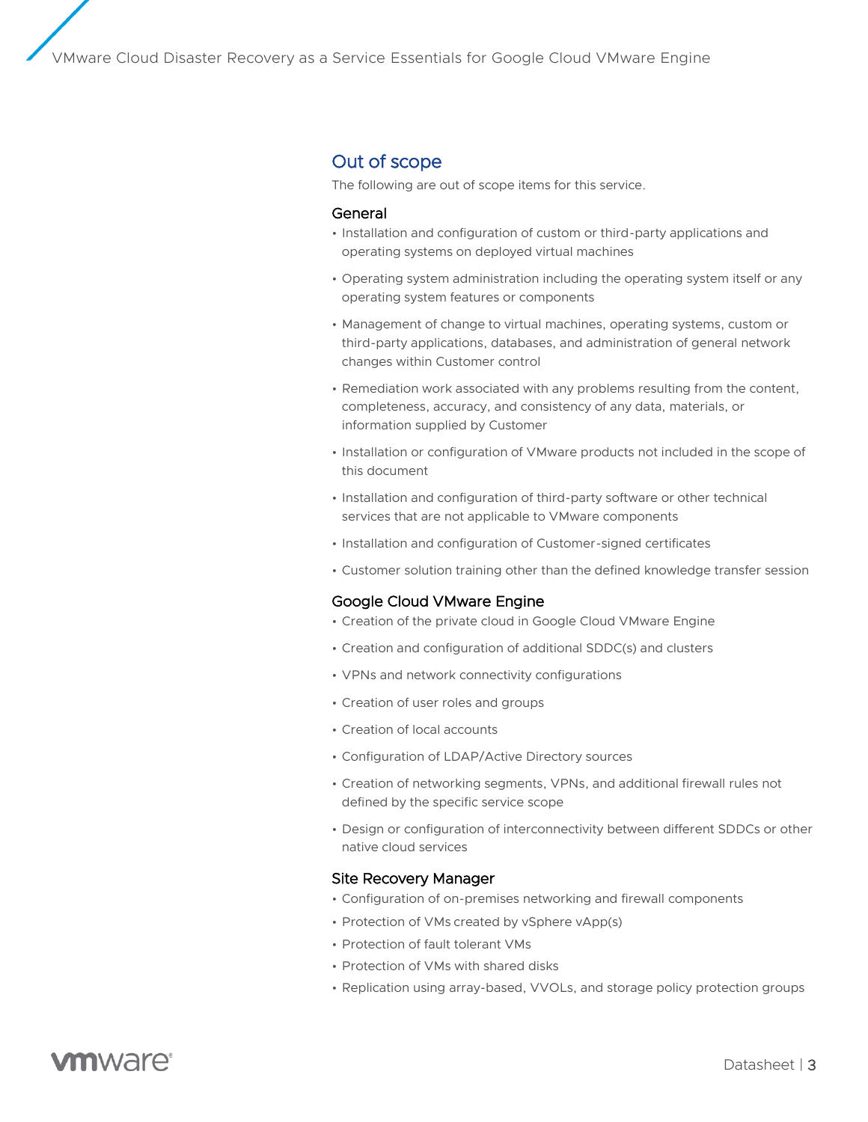### Out of scope

The following are out of scope items for this service.

#### General

- Installation and configuration of custom or third-party applications and operating systems on deployed virtual machines
- Operating system administration including the operating system itself or any operating system features or components
- Management of change to virtual machines, operating systems, custom or third-party applications, databases, and administration of general network changes within Customer control
- Remediation work associated with any problems resulting from the content, completeness, accuracy, and consistency of any data, materials, or information supplied by Customer
- Installation or configuration of VMware products not included in the scope of this document
- Installation and configuration of third-party software or other technical services that are not applicable to VMware components
- Installation and configuration of Customer-signed certificates
- Customer solution training other than the defined knowledge transfer session

#### Google Cloud VMware Engine

- Creation of the private cloud in Google Cloud VMware Engine
- Creation and configuration of additional SDDC(s) and clusters
- VPNs and network connectivity configurations
- Creation of user roles and groups
- Creation of local accounts
- Configuration of LDAP/Active Directory sources
- Creation of networking segments, VPNs, and additional firewall rules not defined by the specific service scope
- Design or configuration of interconnectivity between different SDDCs or other native cloud services

#### Site Recovery Manager

- Configuration of on-premises networking and firewall components
- Protection of VMs created by vSphere vApp(s)
- Protection of fault tolerant VMs
- Protection of VMs with shared disks
- Replication using array-based, VVOLs, and storage policy protection groups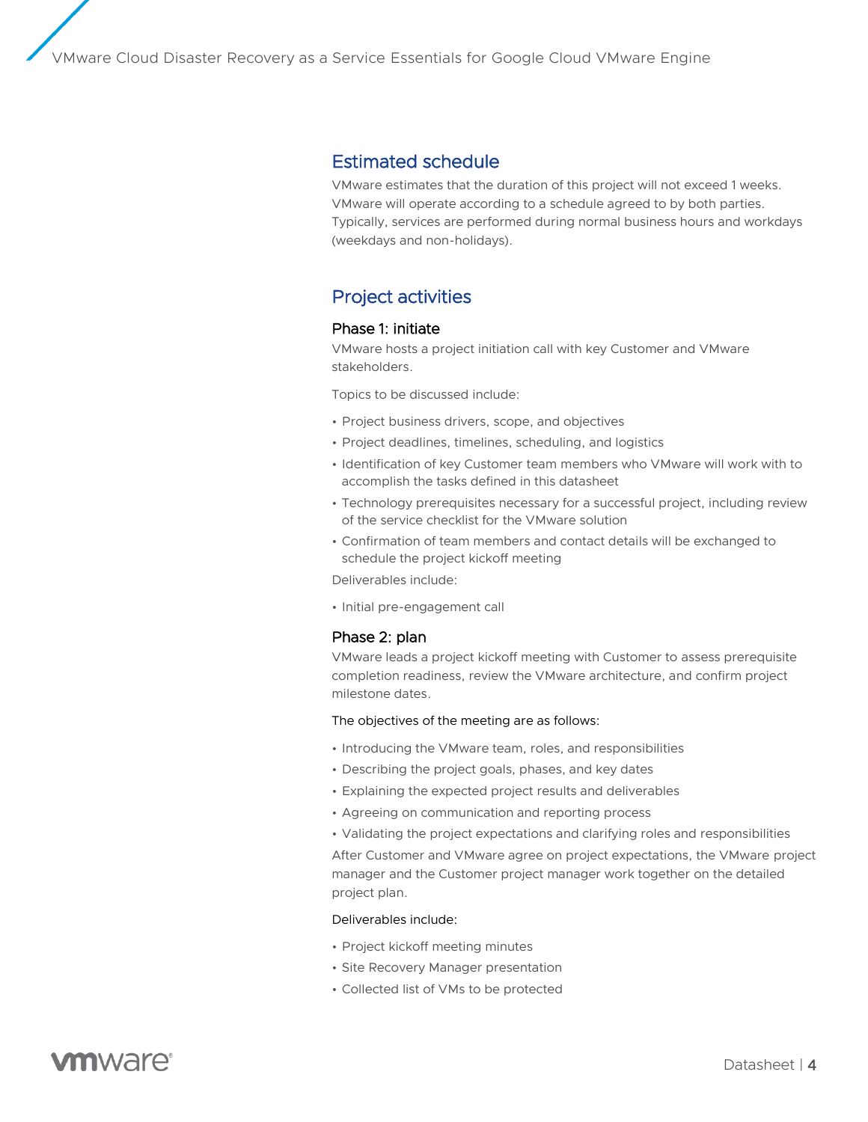### Estimated schedule

VMware estimates that the duration of this project will not exceed 1 weeks. VMware will operate according to a schedule agreed to by both parties. Typically, services are performed during normal business hours and workdays (weekdays and non-holidays).

# Project activities

#### Phase 1: initiate

VMware hosts a project initiation call with key Customer and VMware stakeholders.

Topics to be discussed include:

- Project business drivers, scope, and objectives
- Project deadlines, timelines, scheduling, and logistics
- Identification of key Customer team members who VMware will work with to accomplish the tasks defined in this datasheet
- Technology prerequisites necessary for a successful project, including review of the service checklist for the VMware solution
- Confirmation of team members and contact details will be exchanged to schedule the project kickoff meeting

Deliverables include:

• Initial pre-engagement call

#### Phase 2: plan

VMware leads a project kickoff meeting with Customer to assess prerequisite completion readiness, review the VMware architecture, and confirm project milestone dates.

#### The objectives of the meeting are as follows:

- Introducing the VMware team, roles, and responsibilities
- Describing the project goals, phases, and key dates
- Explaining the expected project results and deliverables
- Agreeing on communication and reporting process
- Validating the project expectations and clarifying roles and responsibilities

After Customer and VMware agree on project expectations, the VMware project manager and the Customer project manager work together on the detailed project plan.

#### Deliverables include:

- Project kickoff meeting minutes
- Site Recovery Manager presentation
- Collected list of VMs to be protected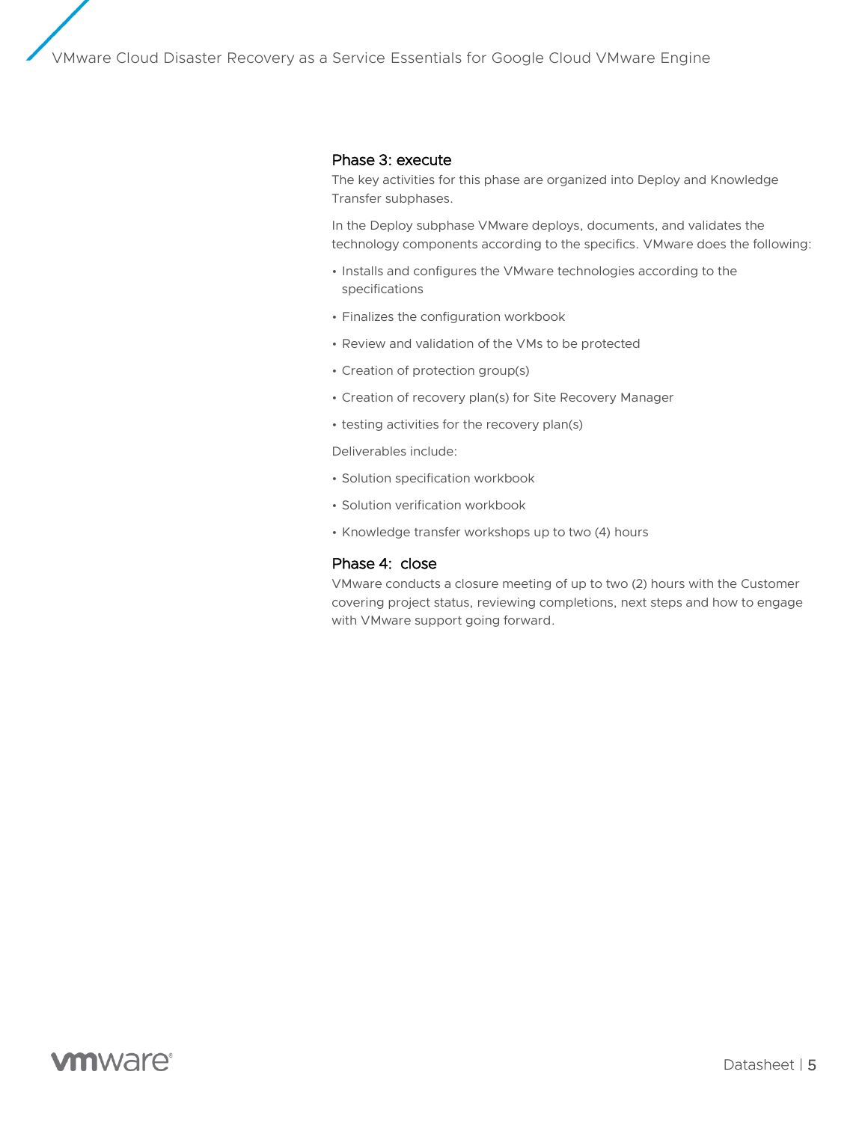#### Phase 3: execute

The key activities for this phase are organized into Deploy and Knowledge Transfer subphases.

In the Deploy subphase VMware deploys, documents, and validates the technology components according to the specifics. VMware does the following:

- Installs and configures the VMware technologies according to the specifications
- Finalizes the configuration workbook
- Review and validation of the VMs to be protected
- Creation of protection group(s)
- Creation of recovery plan(s) for Site Recovery Manager
- testing activities for the recovery plan(s)

Deliverables include:

- Solution specification workbook
- Solution verification workbook
- Knowledge transfer workshops up to two (4) hours

#### Phase 4: close

VMware conducts a closure meeting of up to two (2) hours with the Customer covering project status, reviewing completions, next steps and how to engage with VMware support going forward.